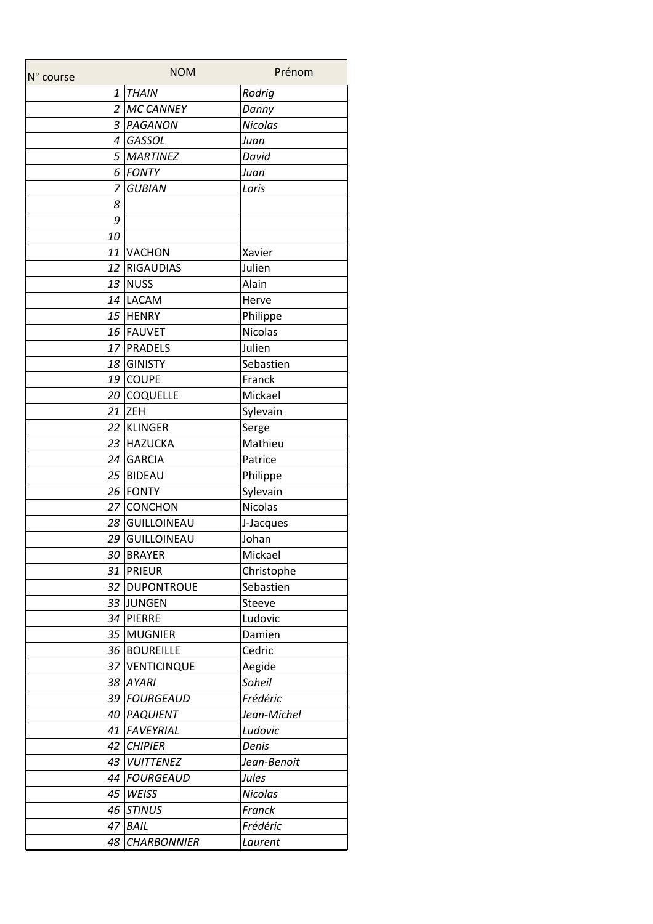| N° course      | <b>NOM</b>         | Prénom         |
|----------------|--------------------|----------------|
| $\mathbf{1}$   | <b>THAIN</b>       | Rodrig         |
|                | 2 MC CANNEY        | Danny          |
|                | 3 PAGANON          | <b>Nicolas</b> |
|                | 4 GASSOL           | Juan           |
|                | 5 MARTINEZ         | David          |
| 6              | FONTY              | Juan           |
| $\overline{z}$ | <b>GUBIAN</b>      | Loris          |
| 8              |                    |                |
| 9              |                    |                |
| 10             |                    |                |
|                | 11 VACHON          | Xavier         |
|                | 12 RIGAUDIAS       | Julien         |
|                | 13 NUSS            | Alain          |
|                | 14 LACAM           | Herve          |
|                | 15 HENRY           | Philippe       |
|                | 16 FAUVET          | <b>Nicolas</b> |
|                | 17 PRADELS         | Julien         |
|                | 18 GINISTY         | Sebastien      |
|                | 19 COUPE           | Franck         |
|                | 20 COQUELLE        | Mickael        |
|                | 21 ZEH             | Sylevain       |
|                | 22 KLINGER         | Serge          |
|                | 23 HAZUCKA         | Mathieu        |
|                | 24 GARCIA          | Patrice        |
|                | 25 BIDEAU          | Philippe       |
|                | 26 FONTY           | Sylevain       |
|                | 27 CONCHON         | Nicolas        |
|                | 28 GUILLOINEAU     | J-Jacques      |
|                | 29 GUILLOINEAU     | Johan          |
|                | 30 BRAYER          | Mickael        |
| 31             | <b>PRIEUR</b>      | Christophe     |
|                | 32   DUPONTROUE    | Sebastien      |
|                | 33 JUNGEN          | <b>Steeve</b>  |
|                | 34 PIERRE          | Ludovic        |
|                | 35 MUGNIER         | Damien         |
|                | 36 BOUREILLE       | Cedric         |
|                | 37 VENTICINQUE     | Aegide         |
|                | 38 AYARI           | Soheil         |
|                | 39 FOURGEAUD       | Frédéric       |
|                | 40 PAQUIENT        | Jean-Michel    |
| 41             | FAVEYRIAL          | Ludovic        |
| 42             | <b>CHIPIER</b>     | Denis          |
| 43             | <b>VUITTENEZ</b>   | Jean-Benoit    |
|                | 44 FOURGEAUD       | Jules          |
| 45             | WEISS              | Nicolas        |
| 46             | <b>STINUS</b>      | Franck         |
| 47             | <b>BAIL</b>        | Frédéric       |
| 48             | <b>CHARBONNIER</b> | Laurent        |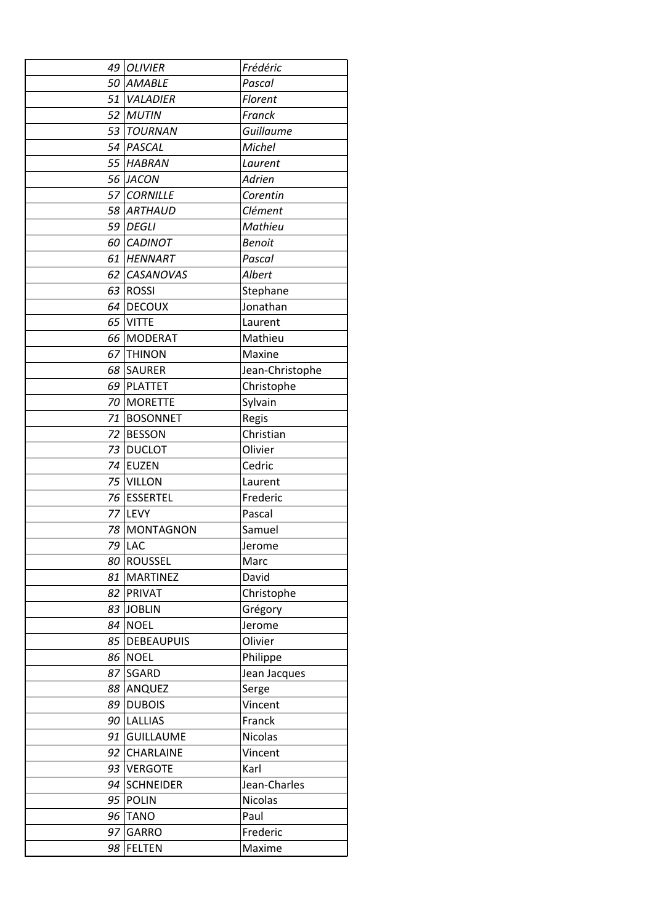|    | 49 OLIVIER       | Frédéric        |
|----|------------------|-----------------|
|    | 50 AMABLE        | Pascal          |
|    | 51 VALADIER      | Florent         |
|    | 52 MUTIN         | Franck          |
|    | 53 TOURNAN       | Guillaume       |
|    | 54 PASCAL        | Michel          |
|    | 55 HABRAN        | Laurent         |
|    | 56 JACON         | Adrien          |
|    | 57 CORNILLE      | Corentin        |
|    | 58 ARTHAUD       | Clément         |
|    | 59 DEGLI         | Mathieu         |
|    | 60 CADINOT       | <b>Benoit</b>   |
|    | 61 HENNART       | Pascal          |
|    | 62 CASANOVAS     | Albert          |
|    | 63 ROSSI         | Stephane        |
|    | 64 DECOUX        | Jonathan        |
|    | 65 VITTE         | Laurent         |
|    | 66 MODERAT       | Mathieu         |
|    | 67 THINON        | Maxine          |
|    | 68 SAURER        | Jean-Christophe |
|    | 69 PLATTET       | Christophe      |
|    | 70 MORETTE       | Sylvain         |
|    | 71 BOSONNET      | Regis           |
|    | 72 BESSON        | Christian       |
|    | 73 DUCLOT        | Olivier         |
|    | 74 EUZEN         | Cedric          |
|    | 75 VILLON        | Laurent         |
|    | 76 ESSERTEL      | Frederic        |
|    | 77 LEVY          | Pascal          |
|    | 78 MONTAGNON     | Samuel          |
|    | 79 LAC           | Jerome          |
|    | 80 ROUSSEL       | Marc            |
| 81 | MARTINEZ         | David           |
|    | 82 PRIVAT        | Christophe      |
|    | 83 JOBLIN        | Grégory         |
|    | 84 NOEL          | Jerome          |
|    | 85 DEBEAUPUIS    | Olivier         |
|    | <b>86 NOEL</b>   | Philippe        |
|    | 87 SGARD         | Jean Jacques    |
|    | 88 ANQUEZ        | Serge           |
|    | 89 DUBOIS        | Vincent         |
|    | 90 LALLIAS       | Franck          |
| 91 | <b>GUILLAUME</b> | Nicolas         |
|    | 92 CHARLAINE     | Vincent         |
|    | 93 VERGOTE       | Karl            |
| 94 | <b>SCHNEIDER</b> | Jean-Charles    |
|    | 95 POLIN         | <b>Nicolas</b>  |
|    | 96 TANO          | Paul            |
|    | 97 GARRO         | Frederic        |
| 98 | <b>FELTEN</b>    | Maxime          |